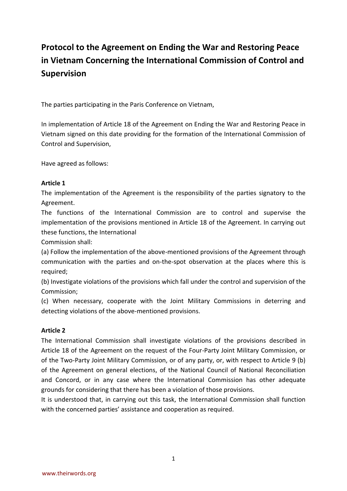# **Protocol to the Agreement on Ending the War and Restoring Peace in Vietnam Concerning the International Commission of Control and Supervision**

The parties participating in the Paris Conference on Vietnam,

In implementation of Article 18 of the Agreement on Ending the War and Restoring Peace in Vietnam signed on this date providing for the formation of the International Commission of Control and Supervision,

Have agreed as follows:

# **Article 1**

The implementation of the Agreement is the responsibility of the parties signatory to the Agreement.

The functions of the International Commission are to control and supervise the implementation of the provisions mentioned in Article 18 of the Agreement. In carrying out these functions, the International

Commission shall:

(a) Follow the implementation of the above-mentioned provisions of the Agreement through communication with the parties and on-the-spot observation at the places where this is required;

(b) Investigate violations of the provisions which fall under the control and supervision of the Commission;

(c) When necessary, cooperate with the Joint Military Commissions in deterring and detecting violations of the above-mentioned provisions.

# **Article 2**

The International Commission shall investigate violations of the provisions described in Article 18 of the Agreement on the request of the Four-Party Joint Military Commission, or of the Two-Party Joint Military Commission, or of any party, or, with respect to Article 9 (b) of the Agreement on general elections, of the National Council of National Reconciliation and Concord, or in any case where the International Commission has other adequate grounds for considering that there has been a violation of those provisions.

It is understood that, in carrying out this task, the International Commission shall function with the concerned parties' assistance and cooperation as required.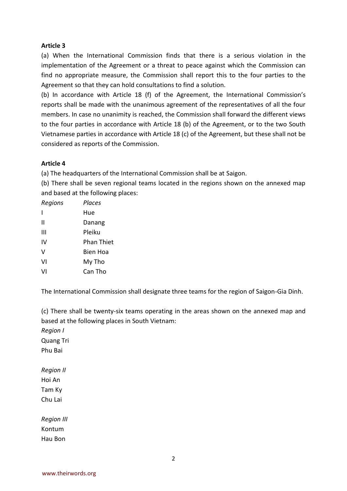## **Article 3**

(a) When the International Commission finds that there is a serious violation in the implementation of the Agreement or a threat to peace against which the Commission can find no appropriate measure, the Commission shall report this to the four parties to the Agreement so that they can hold consultations to find a solution.

(b) In accordance with Article 18 (f) of the Agreement, the International Commission's reports shall be made with the unanimous agreement of the representatives of all the four members. In case no unanimity is reached, the Commission shall forward the different views to the four parties in accordance with Article 18 (b) of the Agreement, or to the two South Vietnamese parties in accordance with Article 18 (c) of the Agreement, but these shall not be considered as reports of the Commission.

## **Article 4**

(a) The headquarters of the International Commission shall be at Saigon.

(b) There shall be seven regional teams located in the regions shown on the annexed map and based at the following places:

| Regions | Places     |
|---------|------------|
|         | Hue        |
| Ш       | Danang     |
| Ш       | Pleiku     |
| IV      | Phan Thiet |
| v       | Bien Hoa   |
| VI      | My Tho     |
| vı      | Can Tho    |
|         |            |

The International Commission shall designate three teams for the region of Saigon-Gia Dinh.

(c) There shall be twenty-six teams operating in the areas shown on the annexed map and based at the following places in South Vietnam:

*Region I*  Quang Tri Phu Bai

*Region II*  Hoi An Tam Ky Chu Lai

*Region III*  Kontum Hau Bon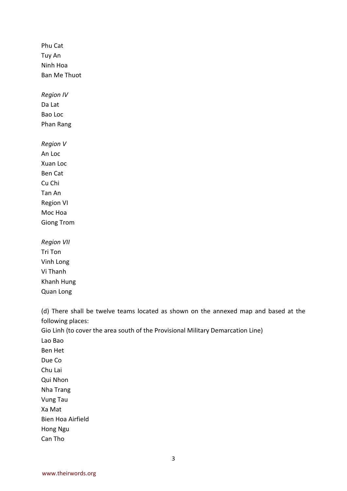Phu Cat Tuy An Ninh Hoa Ban Me Thuot *Region IV*  Da Lat Bao Loc Phan Rang *Region V*  An Loc Xuan Loc Ben Cat Cu Chi Tan An Region VI Moc Hoa Giong Trom *Region VII*  Tri Ton Vinh Long Vi Thanh Khanh Hung Quan Long

(d) There shall be twelve teams located as shown on the annexed map and based at the following places: Gio Linh (to cover the area south of the Provisional Military Demarcation Line) Lao Bao Ben Het Due Co Chu Lai Qui Nhon Nha Trang Vung Tau Xa Mat Bien Hoa Airfield Hong Ngu Can Tho

www.theirwords.org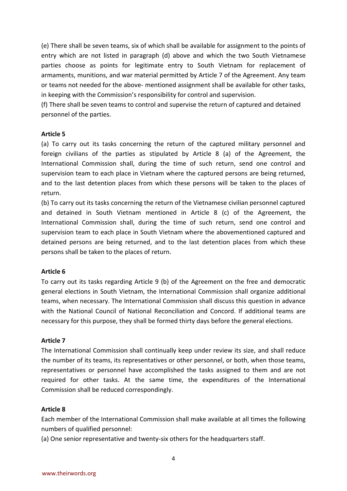(e) There shall be seven teams, six of which shall be available for assignment to the points of entry which are not listed in paragraph (d) above and which the two South Vietnamese parties choose as points for legitimate entry to South Vietnam for replacement of armaments, munitions, and war material permitted by Article 7 of the Agreement. Any team or teams not needed for the above- mentioned assignment shall be available for other tasks, in keeping with the Commission's responsibility for control and supervision.

(f) There shall be seven teams to control and supervise the return of captured and detained personnel of the parties.

#### **Article 5**

(a) To carry out its tasks concerning the return of the captured military personnel and foreign civilians of the parties as stipulated by Article 8 (a) of the Agreement, the International Commission shall, during the time of such return, send one control and supervision team to each place in Vietnam where the captured persons are being returned, and to the last detention places from which these persons will be taken to the places of return.

(b) To carry out its tasks concerning the return of the Vietnamese civilian personnel captured and detained in South Vietnam mentioned in Article 8 (c) of the Agreement, the International Commission shall, during the time of such return, send one control and supervision team to each place in South Vietnam where the abovementioned captured and detained persons are being returned, and to the last detention places from which these persons shall be taken to the places of return.

#### **Article 6**

To carry out its tasks regarding Article 9 (b) of the Agreement on the free and democratic general elections in South Vietnam, the International Commission shall organize additional teams, when necessary. The International Commission shall discuss this question in advance with the National Council of National Reconciliation and Concord. If additional teams are necessary for this purpose, they shall be formed thirty days before the general elections.

#### **Article 7**

The International Commission shall continually keep under review its size, and shall reduce the number of its teams, its representatives or other personnel, or both, when those teams, representatives or personnel have accomplished the tasks assigned to them and are not required for other tasks. At the same time, the expenditures of the International Commission shall be reduced correspondingly.

#### **Article 8**

Each member of the International Commission shall make available at all times the following numbers of qualified personnel:

(a) One senior representative and twenty-six others for the headquarters staff.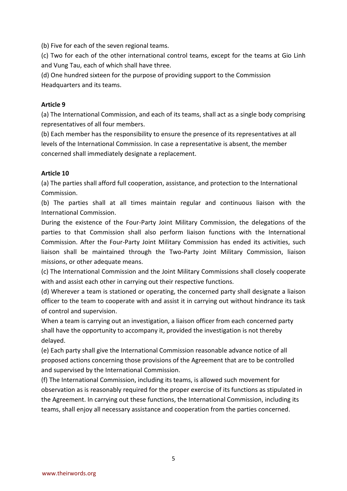(b) Five for each of the seven regional teams.

(c) Two for each of the other international control teams, except for the teams at Gio Linh and Vung Tau, each of which shall have three.

(d) One hundred sixteen for the purpose of providing support to the Commission Headquarters and its teams.

## **Article 9**

(a) The International Commission, and each of its teams, shall act as a single body comprising representatives of all four members.

(b) Each member has the responsibility to ensure the presence of its representatives at all levels of the International Commission. In case a representative is absent, the member concerned shall immediately designate a replacement.

# **Article 10**

(a) The parties shall afford full cooperation, assistance, and protection to the International Commission.

(b) The parties shall at all times maintain regular and continuous liaison with the International Commission.

During the existence of the Four-Party Joint Military Commission, the delegations of the parties to that Commission shall also perform liaison functions with the International Commission. After the Four-Party Joint Military Commission has ended its activities, such liaison shall be maintained through the Two-Party Joint Military Commission, liaison missions, or other adequate means.

(c) The International Commission and the Joint Military Commissions shall closely cooperate with and assist each other in carrying out their respective functions.

(d) Wherever a team is stationed or operating, the concerned party shall designate a liaison officer to the team to cooperate with and assist it in carrying out without hindrance its task of control and supervision.

When a team is carrying out an investigation, a liaison officer from each concerned party shall have the opportunity to accompany it, provided the investigation is not thereby delayed.

(e) Each party shall give the International Commission reasonable advance notice of all proposed actions concerning those provisions of the Agreement that are to be controlled and supervised by the International Commission.

(f) The International Commission, including its teams, is allowed such movement for observation as is reasonably required for the proper exercise of its functions as stipulated in the Agreement. In carrying out these functions, the International Commission, including its teams, shall enjoy all necessary assistance and cooperation from the parties concerned.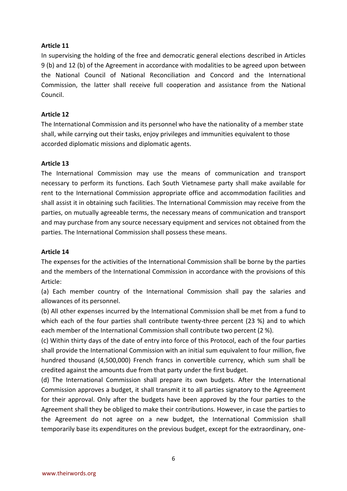## **Article 11**

In supervising the holding of the free and democratic general elections described in Articles 9 (b) and 12 (b) of the Agreement in accordance with modalities to be agreed upon between the National Council of National Reconciliation and Concord and the International Commission, the latter shall receive full cooperation and assistance from the National Council.

## **Article 12**

The International Commission and its personnel who have the nationality of a member state shall, while carrying out their tasks, enjoy privileges and immunities equivalent to those accorded diplomatic missions and diplomatic agents.

## **Article 13**

The International Commission may use the means of communication and transport necessary to perform its functions. Each South Vietnamese party shall make available for rent to the International Commission appropriate office and accommodation facilities and shall assist it in obtaining such facilities. The International Commission may receive from the parties, on mutually agreeable terms, the necessary means of communication and transport and may purchase from any source necessary equipment and services not obtained from the parties. The International Commission shall possess these means.

#### **Article 14**

The expenses for the activities of the International Commission shall be borne by the parties and the members of the International Commission in accordance with the provisions of this Article:

(a) Each member country of the International Commission shall pay the salaries and allowances of its personnel.

(b) All other expenses incurred by the International Commission shall be met from a fund to which each of the four parties shall contribute twenty-three percent (23 %) and to which each member of the International Commission shall contribute two percent (2 %).

(c) Within thirty days of the date of entry into force of this Protocol, each of the four parties shall provide the International Commission with an initial sum equivalent to four million, five hundred thousand (4,500,000) French francs in convertible currency, which sum shall be credited against the amounts due from that party under the first budget.

(d) The International Commission shall prepare its own budgets. After the International Commission approves a budget, it shall transmit it to all parties signatory to the Agreement for their approval. Only after the budgets have been approved by the four parties to the Agreement shall they be obliged to make their contributions. However, in case the parties to the Agreement do not agree on a new budget, the International Commission shall temporarily base its expenditures on the previous budget, except for the extraordinary, one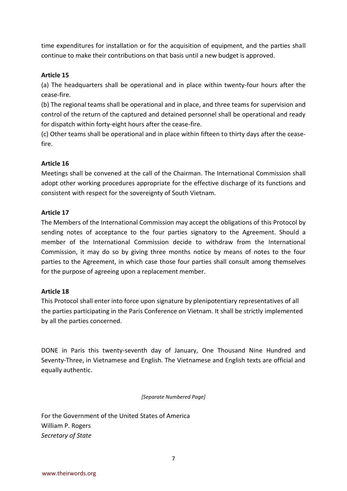time expenditures for installation or for the acquisition of equipment, and the parties shall continue to make their contributions on that basis until a new budget is approved.

# **Article 15**

(a) The headquarters shall be operational and in place within twenty-four hours after the cease-fire.

(b) The regional teams shall be operational and in place, and three teams for supervision and control of the return of the captured and detained personnel shall be operational and ready for dispatch within forty-eight hours after the cease-fire.

(c) Other teams shall be operational and in place within fifteen to thirty days after the ceasefire.

# **Article 16**

Meetings shall be convened at the call of the Chairman. The International Commission shall adopt other working procedures appropriate for the effective discharge of its functions and consistent with respect for the sovereignty of South Vietnam.

# **Article 17**

The Members of the International Commission may accept the obligations of this Protocol by sending notes of acceptance to the four parties signatory to the Agreement. Should a member of the International Commission decide to withdraw from the International Commission, it may do so by giving three months notice by means of notes to the four parties to the Agreement, in which case those four parties shall consult among themselves for the purpose of agreeing upon a replacement member.

# **Article 18**

This Protocol shall enter into force upon signature by plenipotentiary representatives of all the parties participating in the Paris Conference on Vietnam. It shall be strictly implemented by all the parties concerned.

DONE in Paris this twenty-seventh day of January, One Thousand Nine Hundred and Seventy-Three, in Vietnamese and English. The Vietnamese and English texts are official and equally authentic.

*[Separate Numbered Page]* 

For the Government of the United States of America William P. Rogers *Secretary of State*